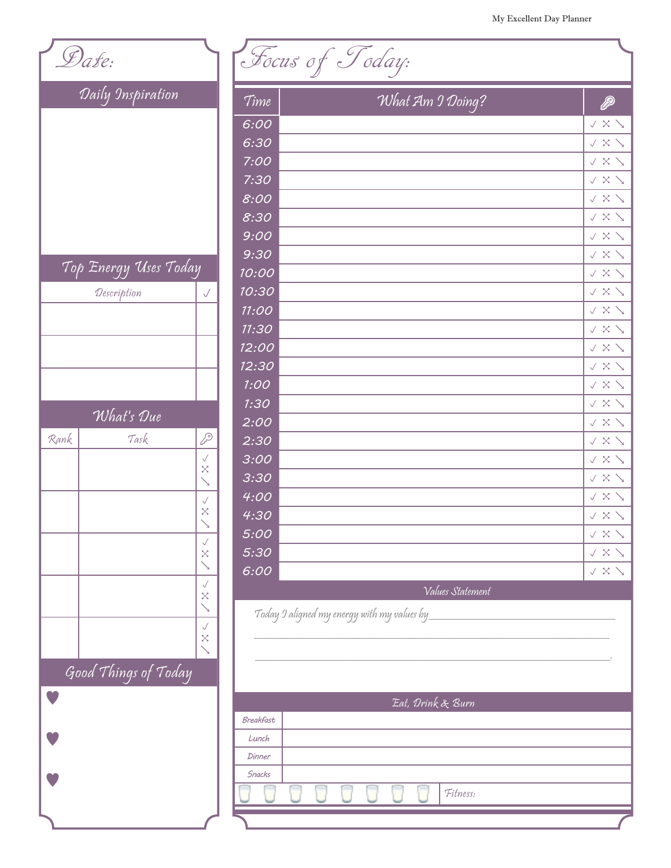| Date: |                       |                          |                   | Focus of Today:                             |                  |                  |                            |
|-------|-----------------------|--------------------------|-------------------|---------------------------------------------|------------------|------------------|----------------------------|
|       | Daily Inspiration     |                          | Time              |                                             | What Am 9 Doing? |                  | P                          |
|       |                       |                          | 6:00              |                                             |                  |                  | $\sqrt{X}$                 |
|       |                       |                          | 6:30              |                                             |                  |                  | $\sqrt{X}$                 |
|       |                       |                          | 7:00              |                                             |                  |                  | $\sqrt{\times}$ $\searrow$ |
|       |                       |                          | 7:30              |                                             |                  |                  | $\lor$ X $\searrow$        |
|       |                       |                          | 8:00              |                                             |                  |                  | $\lor$ X $\searrow$        |
|       |                       |                          | 8:30              |                                             |                  |                  | $\lor$ X $\searrow$        |
|       |                       |                          | 9:00              |                                             |                  |                  | $\vee$ X $\searrow$        |
|       |                       |                          | 9:30              |                                             |                  |                  | $\lor$ X $\searrow$        |
|       | Top Energy Uses Today |                          | 10:00             |                                             |                  |                  | $\vee$ $\times$ $\searrow$ |
|       | Description           | $\checkmark$             | 10:30             |                                             |                  |                  | $\lor$ $\times$ $\searrow$ |
|       |                       |                          | 11:00             |                                             |                  |                  | $\lor$ $\times$ $\searrow$ |
|       |                       |                          | 11:30             |                                             |                  |                  | $\lor$ $\times$ $\searrow$ |
|       |                       |                          | 12:00             |                                             |                  |                  | $V \times V$               |
|       |                       |                          | 12:30             |                                             |                  |                  | $V \times V$               |
|       |                       |                          | 1:OO              |                                             |                  |                  | $\sqrt{\times}$ $\searrow$ |
|       |                       |                          | 1:30              |                                             |                  |                  | $\lor$ $\times$ $\searrow$ |
|       | What's Due            |                          | 2:00              |                                             |                  |                  | $\lor$ X $\searrow$        |
| Rank  | Task                  | P                        | 2:30              |                                             |                  |                  | $\lor$ X $\searrow$        |
|       |                       | ✓<br>$\times$            | 3:00              |                                             |                  |                  | $V \times V$               |
|       |                       |                          | 3:30              |                                             |                  |                  | $\vee$ $\times$ $\searrow$ |
|       |                       | $\checkmark$             | 4:00              |                                             |                  |                  | $\sqrt{\times}$ $\searrow$ |
|       |                       | $\times$                 | 4:30              |                                             |                  |                  | $\vee$ $\times$ $\searrow$ |
|       |                       | $\checkmark$             | 5:00              |                                             |                  |                  | $\vee$ X $\searrow$        |
|       |                       | $\times$                 | 5:30              |                                             |                  |                  | $\vee$ $\times$ $\searrow$ |
|       |                       | $\checkmark$             | 6:00              |                                             |                  |                  | $\sqrt{X}$                 |
|       |                       | $\boldsymbol{\times}$    |                   |                                             |                  | Values Statement |                            |
|       |                       | $\searrow$               |                   | Today 9 aligned my energy with my values by |                  |                  |                            |
|       |                       | $\checkmark$<br>$\times$ |                   |                                             |                  |                  |                            |
|       |                       | $\sum_{i=1}^{n}$         |                   |                                             |                  |                  |                            |
|       | Good Things of Today  |                          |                   |                                             |                  |                  |                            |
|       |                       |                          | Eat, Drink & Burn |                                             |                  |                  |                            |
|       |                       |                          | Breakfast         |                                             |                  |                  |                            |
|       |                       |                          | Lunch             |                                             |                  |                  |                            |
|       |                       |                          | Dinner            |                                             |                  |                  |                            |
|       |                       |                          | <b>Snacks</b>     |                                             |                  |                  |                            |
|       |                       |                          |                   |                                             |                  | Fitness:         |                            |